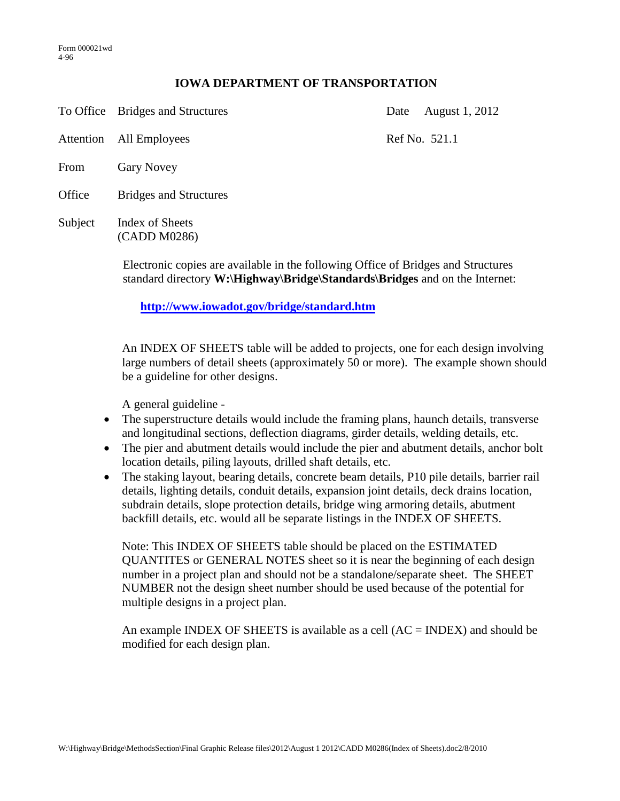## **IOWA DEPARTMENT OF TRANSPORTATION**

To Office Bridges and Structures Date August 1, 2012

Attention All Employees Ref No. 521.1

- From Gary Novey
- Office Bridges and Structures
- Subject Index of Sheets (CADD M0286)

Electronic copies are available in the following Office of Bridges and Structures standard directory **W:\Highway\Bridge\Standards\Bridges** and on the Internet:

**<http://www.iowadot.gov/bridge/standard.htm>**

An INDEX OF SHEETS table will be added to projects, one for each design involving large numbers of detail sheets (approximately 50 or more). The example shown should be a guideline for other designs.

A general guideline -

- The superstructure details would include the framing plans, haunch details, transverse and longitudinal sections, deflection diagrams, girder details, welding details, etc.
- The pier and abutment details would include the pier and abutment details, anchor bolt location details, piling layouts, drilled shaft details, etc.
- The staking layout, bearing details, concrete beam details, P10 pile details, barrier rail details, lighting details, conduit details, expansion joint details, deck drains location, subdrain details, slope protection details, bridge wing armoring details, abutment backfill details, etc. would all be separate listings in the INDEX OF SHEETS.

Note: This INDEX OF SHEETS table should be placed on the ESTIMATED QUANTITES or GENERAL NOTES sheet so it is near the beginning of each design number in a project plan and should not be a standalone/separate sheet. The SHEET NUMBER not the design sheet number should be used because of the potential for multiple designs in a project plan.

An example INDEX OF SHEETS is available as a cell  $(AC = INDEX)$  and should be modified for each design plan.